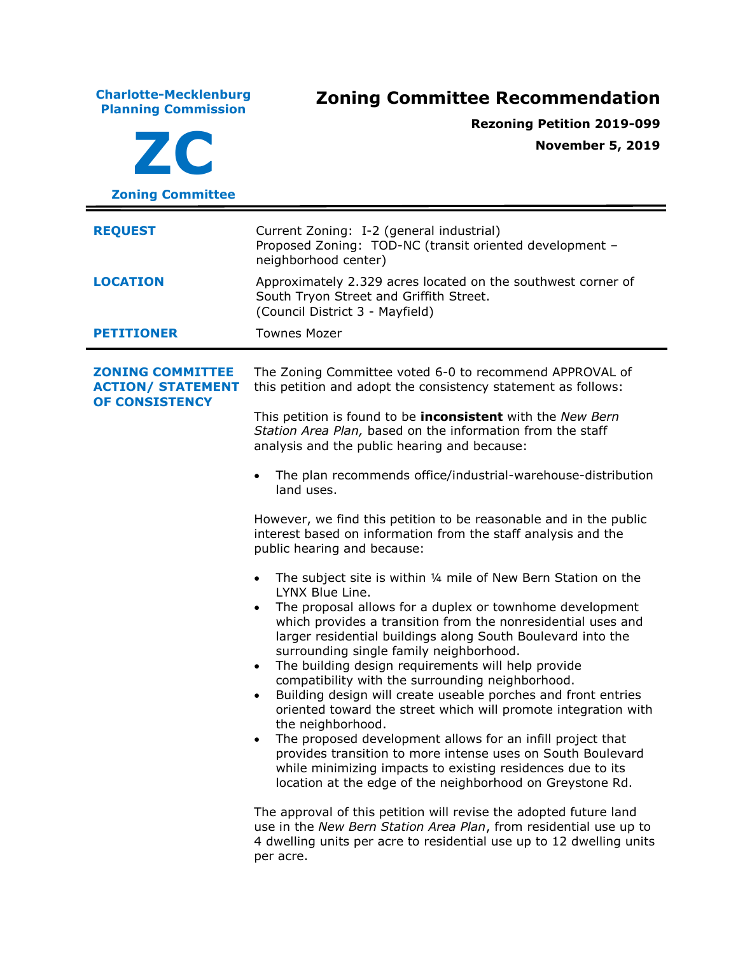**Charlotte-Mecklenburg Planning Commission Zoning Committee Recommendation ZC Zoning Committee Rezoning Petition 2019-099 November 5, 2019 REQUEST** Current Zoning: I-2 (general industrial) Proposed Zoning: TOD-NC (transit oriented development – neighborhood center) **LOCATION** Approximately 2.329 acres located on the southwest corner of South Tryon Street and Griffith Street. (Council District 3 - Mayfield) **PETITIONER** Townes Mozer **ZONING COMMITTEE ACTION/ STATEMENT OF CONSISTENCY** The Zoning Committee voted 6-0 to recommend APPROVAL of this petition and adopt the consistency statement as follows: This petition is found to be **inconsistent** with the *New Bern Station Area Plan,* based on the information from the staff analysis and the public hearing and because: • The plan recommends office/industrial-warehouse-distribution land uses. However, we find this petition to be reasonable and in the public interest based on information from the staff analysis and the public hearing and because: • The subject site is within ¼ mile of New Bern Station on the LYNX Blue Line. The proposal allows for a duplex or townhome development which provides a transition from the nonresidential uses and larger residential buildings along South Boulevard into the surrounding single family neighborhood. • The building design requirements will help provide compatibility with the surrounding neighborhood. Building design will create useable porches and front entries oriented toward the street which will promote integration with the neighborhood. The proposed development allows for an infill project that provides transition to more intense uses on South Boulevard while minimizing impacts to existing residences due to its location at the edge of the neighborhood on Greystone Rd. The approval of this petition will revise the adopted future land use in the *New Bern Station Area Plan*, from residential use up to 4 dwelling units per acre to residential use up to 12 dwelling units per acre.